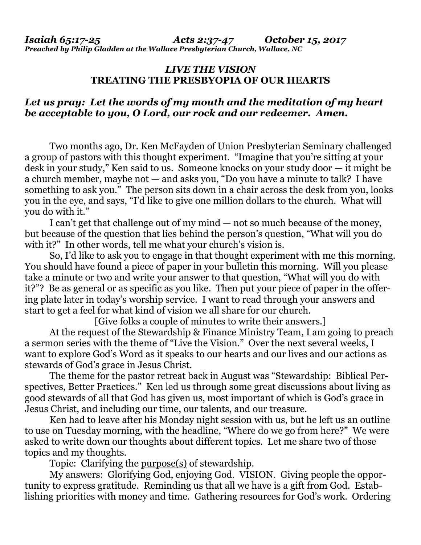## *LIVE THE VISION* **TREATING THE PRESBYOPIA OF OUR HEARTS**

## *Let us pray: Let the words of my mouth and the meditation of my heart be acceptable to you, O Lord, our rock and our redeemer. Amen.*

Two months ago, Dr. Ken McFayden of Union Presbyterian Seminary challenged a group of pastors with this thought experiment. "Imagine that you're sitting at your desk in your study," Ken said to us. Someone knocks on your study door — it might be a church member, maybe not — and asks you, "Do you have a minute to talk? I have something to ask you." The person sits down in a chair across the desk from you, looks you in the eye, and says, "I'd like to give one million dollars to the church. What will you do with it."

I can't get that challenge out of my mind — not so much because of the money, but because of the question that lies behind the person's question, "What will you do with it?" In other words, tell me what your church's vision is.

So, I'd like to ask you to engage in that thought experiment with me this morning. You should have found a piece of paper in your bulletin this morning. Will you please take a minute or two and write your answer to that question, "What will you do with it?"? Be as general or as specific as you like. Then put your piece of paper in the offering plate later in today's worship service. I want to read through your answers and start to get a feel for what kind of vision we all share for our church.

[Give folks a couple of minutes to write their answers.] At the request of the Stewardship & Finance Ministry Team, I am going to preach a sermon series with the theme of "Live the Vision." Over the next several weeks, I want to explore God's Word as it speaks to our hearts and our lives and our actions as stewards of God's grace in Jesus Christ.

The theme for the pastor retreat back in August was "Stewardship: Biblical Perspectives, Better Practices." Ken led us through some great discussions about living as good stewards of all that God has given us, most important of which is God's grace in Jesus Christ, and including our time, our talents, and our treasure.

Ken had to leave after his Monday night session with us, but he left us an outline to use on Tuesday morning, with the headline, "Where do we go from here?" We were asked to write down our thoughts about different topics. Let me share two of those topics and my thoughts.

Topic: Clarifying the purpose(s) of stewardship.

My answers: Glorifying God, enjoying God. VISION. Giving people the opportunity to express gratitude. Reminding us that all we have is a gift from God. Establishing priorities with money and time. Gathering resources for God's work. Ordering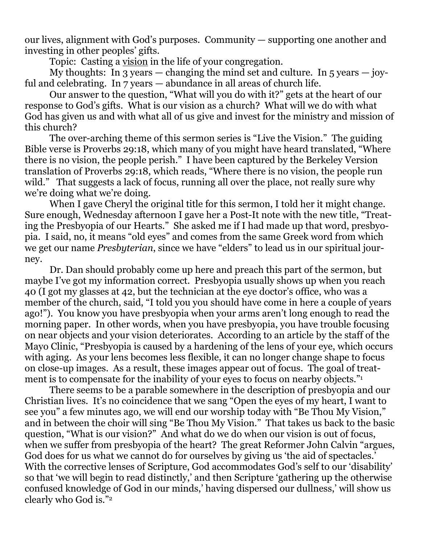our lives, alignment with God's purposes. Community — supporting one another and investing in other peoples' gifts.

Topic: Casting a vision in the life of your congregation.

My thoughts: In 3 years — changing the mind set and culture. In  $5$  years — joyful and celebrating. In 7 years — abundance in all areas of church life.

Our answer to the question, "What will you do with it?" gets at the heart of our response to God's gifts. What is our vision as a church? What will we do with what God has given us and with what all of us give and invest for the ministry and mission of this church?

The over-arching theme of this sermon series is "Live the Vision." The guiding Bible verse is Proverbs 29:18, which many of you might have heard translated, "Where there is no vision, the people perish." I have been captured by the Berkeley Version translation of Proverbs 29:18, which reads, "Where there is no vision, the people run wild." That suggests a lack of focus, running all over the place, not really sure why we're doing what we're doing.

When I gave Cheryl the original title for this sermon, I told her it might change. Sure enough, Wednesday afternoon I gave her a Post-It note with the new title, "Treating the Presbyopia of our Hearts." She asked me if I had made up that word, presbyopia. I said, no, it means "old eyes" and comes from the same Greek word from which we get our name *Presbyterian*, since we have "elders" to lead us in our spiritual journey.

Dr. Dan should probably come up here and preach this part of the sermon, but maybe I've got my information correct. Presbyopia usually shows up when you reach 40 (I got my glasses at 42, but the technician at the eye doctor's office, who was a member of the church, said, "I told you you should have come in here a couple of years ago!"). You know you have presbyopia when your arms aren't long enough to read the morning paper. In other words, when you have presbyopia, you have trouble focusing on near objects and your vision deteriorates. According to an article by the staff of the Mayo Clinic, "Presbyopia is caused by a hardening of the lens of your eye, which occurs with aging. As your lens becomes less flexible, it can no longer change shape to focus on close-up images. As a result, these images appear out of focus. The goal of treatment is to compensate for the inability of your eyes to focus on nearby objects."<sup>1</sup>

There seems to be a parable somewhere in the description of presbyopia and our Christian lives. It's no coincidence that we sang "Open the eyes of my heart, I want to see you" a few minutes ago, we will end our worship today with "Be Thou My Vision," and in between the choir will sing "Be Thou My Vision." That takes us back to the basic question, "What is our vision?" And what do we do when our vision is out of focus, when we suffer from presbyopia of the heart? The great Reformer John Calvin "argues, God does for us what we cannot do for ourselves by giving us 'the aid of spectacles.' With the corrective lenses of Scripture, God accommodates God's self to our 'disability' so that 'we will begin to read distinctly,' and then Scripture 'gathering up the otherwise confused knowledge of God in our minds,' having dispersed our dullness,' will show us clearly who God is."<sup>2</sup>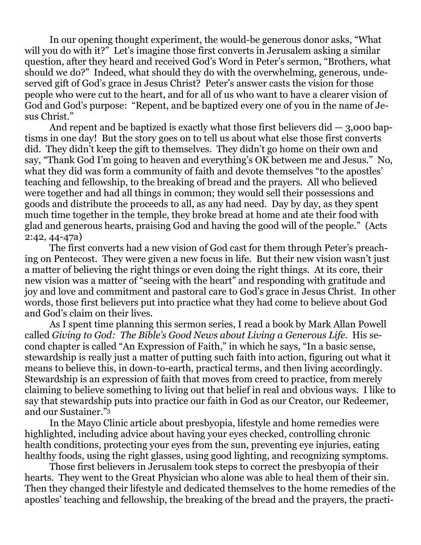In our opening thought experiment, the would-be generous donor asks, "What will you do with it?" Let's imagine those first converts in Jerusalem asking a similar question, after they heard and received God's Word in Peter's sermon, "Brothers, what should we do?" Indeed, what should they do with the overwhelming, generous, undeserved gift of God's grace in Jesus Christ? Peter's answer casts the vision for those people who were cut to the heart, and for all of us who want to have a clearer vision of God and God's purpose: "Repent, and be baptized every one of you in the name of Jesus Christ."

And repent and be baptized is exactly what those first believers did  $-$  3,000 baptisms in one day! But the story goes on to tell us about what else those first converts did. They didn't keep the gift to themselves. They didn't go home on their own and say, "Thank God I'm going to heaven and everything's OK between me and Jesus." No, what they did was form a community of faith and devote themselves "to the apostles' teaching and fellowship, to the breaking of bread and the prayers. All who believed were together and had all things in common; they would sell their possessions and goods and distribute the proceeds to all, as any had need. Day by day, as they spent much time together in the temple, they broke bread at home and ate their food with glad and generous hearts, praising God and having the good will of the people." (Acts 2:42, 44-47a)

The first converts had a new vision of God cast for them through Peter's preaching on Pentecost. They were given a new focus in life. But their new vision wasn't just a matter of believing the right things or even doing the right things. At its core, their new vision was a matter of "seeing with the heart" and responding with gratitude and joy and love and commitment and pastoral care to God's grace in Jesus Christ. In other words, those first believers put into practice what they had come to believe about God and God's claim on their lives.

As I spent time planning this sermon series, I read a book by Mark Allan Powell called *Giving to God: The Bible's Good News about Living a Generous Life*. His second chapter is called "An Expression of Faith," in which he says, "In a basic sense, stewardship is really just a matter of putting such faith into action, figuring out what it means to believe this, in down-to-earth, practical terms, and then living accordingly. Stewardship is an expression of faith that moves from creed to practice, from merely claiming to believe something to living out that belief in real and obvious ways. I like to say that stewardship puts into practice our faith in God as our Creator, our Redeemer, and our Sustainer."<sup>3</sup>

In the Mayo Clinic article about presbyopia, lifestyle and home remedies were highlighted, including advice about having your eyes checked, controlling chronic health conditions, protecting your eyes from the sun, preventing eye injuries, eating healthy foods, using the right glasses, using good lighting, and recognizing symptoms.

Those first believers in Jerusalem took steps to correct the presbyopia of their hearts. They went to the Great Physician who alone was able to heal them of their sin. Then they changed their lifestyle and dedicated themselves to the home remedies of the apostles' teaching and fellowship, the breaking of the bread and the prayers, the practi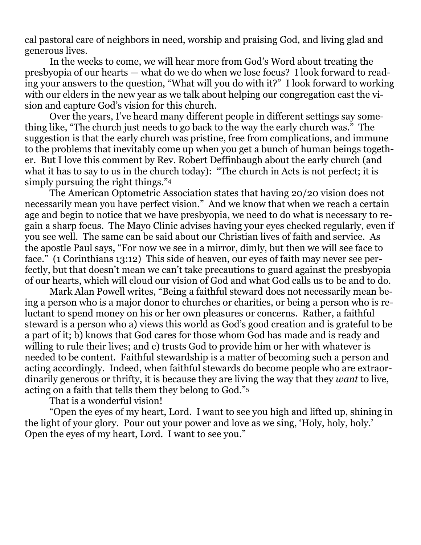cal pastoral care of neighbors in need, worship and praising God, and living glad and generous lives.

In the weeks to come, we will hear more from God's Word about treating the presbyopia of our hearts — what do we do when we lose focus? I look forward to reading your answers to the question, "What will you do with it?" I look forward to working with our elders in the new year as we talk about helping our congregation cast the vision and capture God's vision for this church.

Over the years, I've heard many different people in different settings say something like, "The church just needs to go back to the way the early church was." The suggestion is that the early church was pristine, free from complications, and immune to the problems that inevitably come up when you get a bunch of human beings together. But I love this comment by Rev. Robert Deffinbaugh about the early church (and what it has to say to us in the church today): "The church in Acts is not perfect; it is simply pursuing the right things."<sup>4</sup>

The American Optometric Association states that having 20/20 vision does not necessarily mean you have perfect vision." And we know that when we reach a certain age and begin to notice that we have presbyopia, we need to do what is necessary to regain a sharp focus. The Mayo Clinic advises having your eyes checked regularly, even if you see well. The same can be said about our Christian lives of faith and service. As the apostle Paul says, "For now we see in a mirror, dimly, but then we will see face to face." (1 Corinthians 13:12) This side of heaven, our eyes of faith may never see perfectly, but that doesn't mean we can't take precautions to guard against the presbyopia of our hearts, which will cloud our vision of God and what God calls us to be and to do.

Mark Alan Powell writes, "Being a faithful steward does not necessarily mean being a person who is a major donor to churches or charities, or being a person who is reluctant to spend money on his or her own pleasures or concerns. Rather, a faithful steward is a person who a) views this world as God's good creation and is grateful to be a part of it; b) knows that God cares for those whom God has made and is ready and willing to rule their lives; and c) trusts God to provide him or her with whatever is needed to be content. Faithful stewardship is a matter of becoming such a person and acting accordingly. Indeed, when faithful stewards do become people who are extraordinarily generous or thrifty, it is because they are living the way that they *want* to live, acting on a faith that tells them they belong to God."<sup>5</sup>

That is a wonderful vision!

"Open the eyes of my heart, Lord. I want to see you high and lifted up, shining in the light of your glory. Pour out your power and love as we sing, 'Holy, holy, holy.' Open the eyes of my heart, Lord. I want to see you."